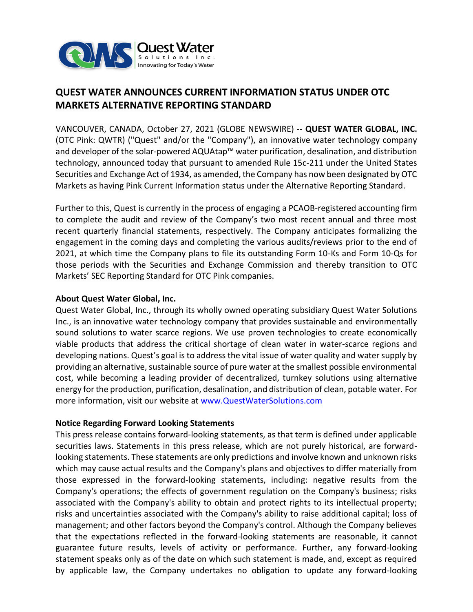

## **QUEST WATER ANNOUNCES CURRENT INFORMATION STATUS UNDER OTC MARKETS ALTERNATIVE REPORTING STANDARD**

VANCOUVER, CANADA, October 27, 2021 (GLOBE NEWSWIRE) -- **QUEST WATER GLOBAL, INC.** (OTC Pink: QWTR) ("Quest" and/or the "Company"), an innovative water technology company and developer of the solar-powered AQUAtap™ water purification, desalination, and distribution technology, announced today that pursuant to amended Rule 15c-211 under the United States Securities and Exchange Act of 1934, as amended, the Company has now been designated by OTC Markets as having Pink Current Information status under the Alternative Reporting Standard.

Further to this, Quest is currently in the process of engaging a PCAOB-registered accounting firm to complete the audit and review of the Company's two most recent annual and three most recent quarterly financial statements, respectively. The Company anticipates formalizing the engagement in the coming days and completing the various audits/reviews prior to the end of 2021, at which time the Company plans to file its outstanding Form 10-Ks and Form 10-Qs for those periods with the Securities and Exchange Commission and thereby transition to OTC Markets' SEC Reporting Standard for OTC Pink companies.

## **About Quest Water Global, Inc.**

Quest Water Global, Inc., through its wholly owned operating subsidiary Quest Water Solutions Inc., is an innovative water technology company that provides sustainable and environmentally sound solutions to water scarce regions. We use proven technologies to create economically viable products that address the critical shortage of clean water in water-scarce regions and developing nations. Quest's goal is to address the vital issue of water quality and water supply by providing an alternative, sustainable source of pure water at the smallest possible environmental cost, while becoming a leading provider of decentralized, turnkey solutions using alternative energy for the production, purification, desalination, and distribution of clean, potable water. For more information, visit our website at [www.QuestWaterSolutions.com](http://www.questwatersolutions.com/)

## **Notice Regarding Forward Looking Statements**

This press release contains forward-looking statements, as that term is defined under applicable securities laws. Statements in this press release, which are not purely historical, are forwardlooking statements. These statements are only predictions and involve known and unknown risks which may cause actual results and the Company's plans and objectives to differ materially from those expressed in the forward-looking statements, including: negative results from the Company's operations; the effects of government regulation on the Company's business; risks associated with the Company's ability to obtain and protect rights to its intellectual property; risks and uncertainties associated with the Company's ability to raise additional capital; loss of management; and other factors beyond the Company's control. Although the Company believes that the expectations reflected in the forward-looking statements are reasonable, it cannot guarantee future results, levels of activity or performance. Further, any forward-looking statement speaks only as of the date on which such statement is made, and, except as required by applicable law, the Company undertakes no obligation to update any forward-looking